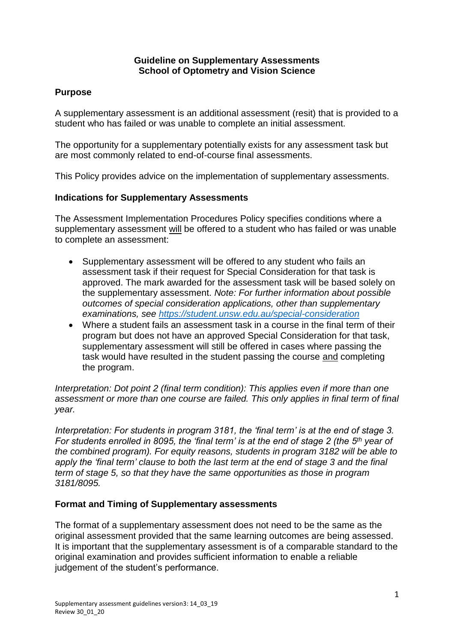### **Guideline on Supplementary Assessments School of Optometry and Vision Science**

# **Purpose**

A supplementary assessment is an additional assessment (resit) that is provided to a student who has failed or was unable to complete an initial assessment.

The opportunity for a supplementary potentially exists for any assessment task but are most commonly related to end-of-course final assessments.

This Policy provides advice on the implementation of supplementary assessments.

## **Indications for Supplementary Assessments**

The Assessment Implementation Procedures Policy specifies conditions where a supplementary assessment will be offered to a student who has failed or was unable to complete an assessment:

- Supplementary assessment will be offered to any student who fails an assessment task if their request for Special Consideration for that task is approved. The mark awarded for the assessment task will be based solely on the supplementary assessment. *Note: For further information about possible outcomes of special consideration applications, other than supplementary examinations, see [https://student.unsw.edu.au/special-consideration](note:%20For%20further%20information%20about%20possible%20outcomes%20of%20special%20consideration%20applications,%20other%20than%20supplementary%20examinations,%20see%20https://student.unsw.edu.au/special-consideration)*
- Where a student fails an assessment task in a course in the final term of their program but does not have an approved Special Consideration for that task, supplementary assessment will still be offered in cases where passing the task would have resulted in the student passing the course and completing the program.

*Interpretation: Dot point 2 (final term condition): This applies even if more than one assessment or more than one course are failed. This only applies in final term of final year.*

*Interpretation: For students in program 3181, the 'final term' is at the end of stage 3. For students enrolled in 8095, the 'final term' is at the end of stage 2 (the 5th year of the combined program). For equity reasons, students in program 3182 will be able to apply the 'final term' clause to both the last term at the end of stage 3 and the final term of stage 5, so that they have the same opportunities as those in program 3181/8095.*

### **Format and Timing of Supplementary assessments**

The format of a supplementary assessment does not need to be the same as the original assessment provided that the same learning outcomes are being assessed. It is important that the supplementary assessment is of a comparable standard to the original examination and provides sufficient information to enable a reliable judgement of the student's performance.